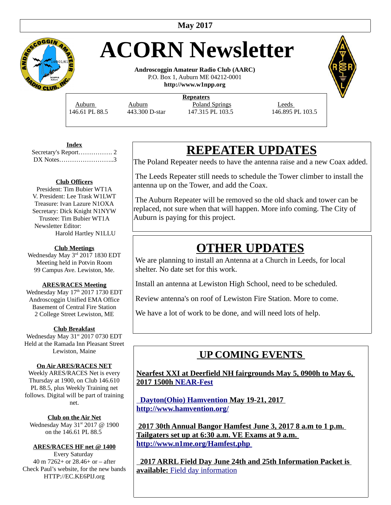

# **ACORN Newsletter**

**Androscoggin Amateur Radio Club (AARC)** P.O. Box 1, Auburn ME 04212-0001 **http://www.w1npp.org**

**Repeaters** Auburn Auburn **Poland Springs** Leeds

146.61 PL 88.5 443.300 D-star 147.315 PL 103.5 146.895 PL 103.5

**Index** Secretary's Report……………. 2 DX Notes……………………..3

#### **Club Officers**

President: Tim Bubier WT1A V. President: Lee Trask W1LWT Treasure: Ivan Lazure N1OXA Secretary: Dick Knight N1NYW Trustee: Tim Bubier WT1A Newsletter Editor: Harold Hartley N1LLU

#### **Club Meetings**

Wednesday May 3rd 2017 1830 EDT Meeting held in Potvin Room 99 Campus Ave. Lewiston, Me.

#### **ARES/RACES Meeting**

Wednesday May 17th 2017 1730 EDT Androscoggin Unified EMA Office Basement of Central Fire Station 2 College Street Lewiston, ME

#### **Club Breakfast**

Wednesday May 31<sup>st</sup> 2017 0730 EDT Held at the Ramada Inn Pleasant Street Lewiston, Maine

#### **On Air ARES/RACES NET**

Weekly ARES/RACES Net is every Thursday at 1900, on Club 146.610 PL 88.5, plus Weekly Training net follows. Digital will be part of training net.

**Club on the Air Net** Wednesday May  $31<sup>st</sup> 2017$  @ 1900 on the 146.61 PL 88.5

#### **ARES/RACES HF net @ 1400**

Every Saturday 40 m 7262+ or 28.46+ or – after Check Paul's website, for the new bands HTTP://EC.KE6PIJ.org

## **REPEATER UPDATES**

The Poland Repeater needs to have the antenna raise and a new Coax added.

 The Leeds Repeater still needs to schedule the Tower climber to install the antenna up on the Tower, and add the Coax.

 The Auburn Repeater will be removed so the old shack and tower can be replaced, not sure when that will happen. More info coming. The City of Auburn is paying for this project.

### **OTHER UPDATES**

We are planning to install an Antenna at a Church in Leeds, for local shelter. No date set for this work.

Install an antenna at Lewiston High School, need to be scheduled.

Review antenna's on roof of Lewiston Fire Station. More to come.

We have a lot of work to be done, and will need lots of help.

### **UP COMING EVENTS**

**Nearfest XXI at Deerfield NH fairgrounds May 5, 0900h to May 6, 2017 1500h [NEAR-Fest](http://www.near-fest.com/)**

 **[Dayton\(Ohio\) Hamvention](http://www.hamvention.org/about.php) May 19-21, 2017 <http://www.hamvention.org/>**

 **2017 30th Annual Bangor Hamfest June 3, 2017 8 a.m to 1 p.m. Tailgaters set up at 6:30 a.m. VE Exams at 9 a.m. <http://www.n1me.org/Hamfest.php>**

 **2017 ARRL Field Day June 24th and 25th Information Packet is available:** [Field day information](http://www.arrl.org/files/file/Field-Day/2016/2016FD_packet.pdf)

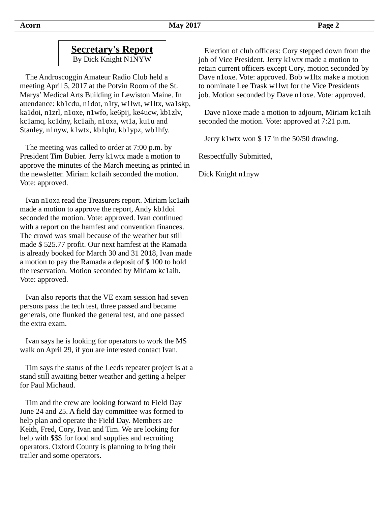By Dick Knight N1NYW

 The Androscoggin Amateur Radio Club held a meeting April 5, 2017 at the Potvin Room of the St. Marys' Medical Arts Building in Lewiston Maine. In attendance: kb1cdu, n1dot, n1ty, w1lwt, w1ltx, wa1skp, ka1doi, n1zrl, n1oxe, n1wfo, ke6pij, ke4ucw, kb1zlv, kc1amq, kc1dny, kc1aih, n1oxa, wt1a, ku1u and Stanley, n1nyw, k1wtx, kb1qhr, kb1ypz, wb1hfy.

 The meeting was called to order at 7:00 p.m. by President Tim Bubier. Jerry k1wtx made a motion to approve the minutes of the March meeting as printed in the newsletter. Miriam kc1aih seconded the motion. Vote: approved.

 Ivan n1oxa read the Treasurers report. Miriam kc1aih made a motion to approve the report, Andy kb1doi seconded the motion. Vote: approved. Ivan continued with a report on the hamfest and convention finances. The crowd was small because of the weather but still made \$ 525.77 profit. Our next hamfest at the Ramada is already booked for March 30 and 31 2018, Ivan made a motion to pay the Ramada a deposit of \$ 100 to hold the reservation. Motion seconded by Miriam kc1aih. Vote: approved.

 Ivan also reports that the VE exam session had seven persons pass the tech test, three passed and became generals, one flunked the general test, and one passed the extra exam.

 Ivan says he is looking for operators to work the MS walk on April 29, if you are interested contact Ivan.

 Tim says the status of the Leeds repeater project is at a stand still awaiting better weather and getting a helper for Paul Michaud.

 Tim and the crew are looking forward to Field Day June 24 and 25. A field day committee was formed to help plan and operate the Field Day. Members are Keith, Fred, Cory, Ivan and Tim. We are looking for help with \$\$\$ for food and supplies and recruiting operators. Oxford County is planning to bring their trailer and some operators.

 Election of club officers: Cory stepped down from the job of Vice President. Jerry k1wtx made a motion to retain current officers except Cory, motion seconded by Dave n1oxe. Vote: approved. Bob w1ltx make a motion to nominate Lee Trask w1lwt for the Vice Presidents job. Motion seconded by Dave n1oxe. Vote: approved.

 Dave n1oxe made a motion to adjourn, Miriam kc1aih seconded the motion. Vote: approved at 7:21 p.m.

Jerry k1wtx won \$ 17 in the 50/50 drawing.

Respectfully Submitted,

Dick Knight n1nyw